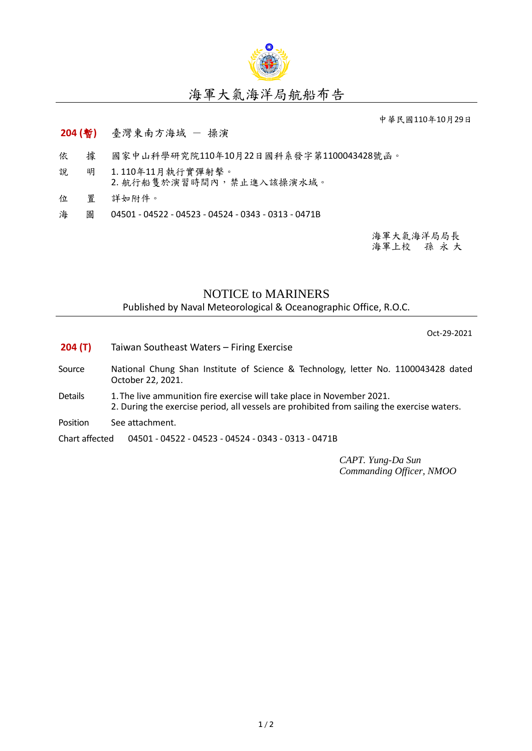

## 海軍大氣海洋局航船布告

中華民國110年10月29日

## **204 (**暫**)** 臺灣東南方海域 - 操演

- 依 據 國家中山科學研究院110年10月22日國科系發字第1100043428號函。
- 說 明 1. 110年11月執行實彈射擊。
	- 2. 航行船隻於演習時間內,禁止進入該操演水域。
- 位 置 詳如附件。
- 海 圖 04501 04522 04523 04524 0343 0313 0471B

海軍大氣海洋局局長 海軍上校 孫 永 大

## NOTICE to MARINERS

Published by Naval Meteorological & Oceanographic Office, R.O.C.

Oct-29-2021

- **204 (T)** Taiwan Southeast Waters Firing Exercise
- Source National Chung Shan Institute of Science & Technology, letter No. 1100043428 dated October 22, 2021.
- Details 1. The live ammunition fire exercise will take place in November 2021. 2. During the exercise period, all vessels are prohibited from sailing the exercise waters.
- Position See attachment.

Chart affected 04501 - 04522 - 04523 - 04524 - 0343 - 0313 - 0471B

*CAPT. Yung-Da Sun Commanding Officer, NMOO*